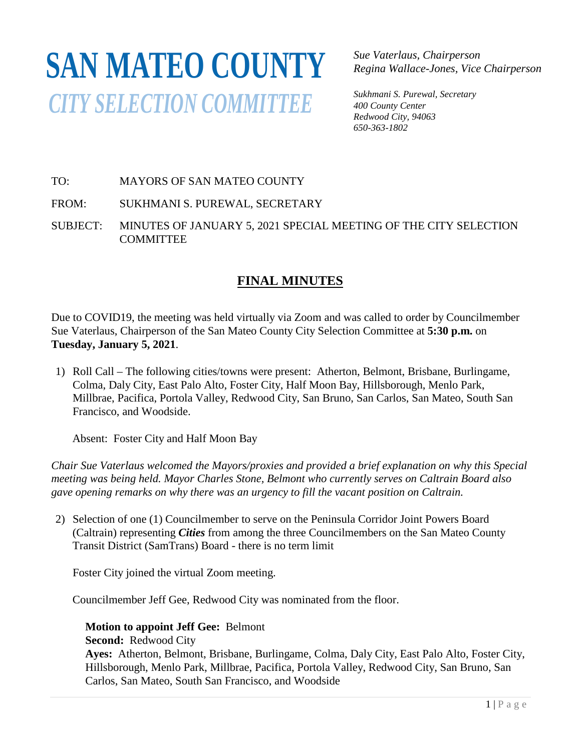## **SAN MATEO COUNTY***CITY SELECTION COMMITTEE*

*Sue Vaterlaus, Chairperson Regina Wallace-Jones, Vice Chairperson*

*Sukhmani S. Purewal, Secretary 400 County Center Redwood City, 94063 650-363-1802*

## TO: MAYORS OF SAN MATEO COUNTY

FROM: SUKHMANI S. PUREWAL, SECRETARY

SUBJECT: MINUTES OF JANUARY 5, 2021 SPECIAL MEETING OF THE CITY SELECTION **COMMITTEE** 

## **FINAL MINUTES**

Due to COVID19, the meeting was held virtually via Zoom and was called to order by Councilmember Sue Vaterlaus, Chairperson of the San Mateo County City Selection Committee at **5:30 p.m.** on **Tuesday, January 5, 2021**.

1) Roll Call – The following cities/towns were present: Atherton, Belmont, Brisbane, Burlingame, Colma, Daly City, East Palo Alto, Foster City, Half Moon Bay, Hillsborough, Menlo Park, Millbrae, Pacifica, Portola Valley, Redwood City, San Bruno, San Carlos, San Mateo, South San Francisco, and Woodside.

Absent: Foster City and Half Moon Bay

*Chair Sue Vaterlaus welcomed the Mayors/proxies and provided a brief explanation on why this Special meeting was being held. Mayor Charles Stone, Belmont who currently serves on Caltrain Board also gave opening remarks on why there was an urgency to fill the vacant position on Caltrain.*

2) Selection of one (1) Councilmember to serve on the Peninsula Corridor Joint Powers Board (Caltrain) representing *Cities* from among the three Councilmembers on the San Mateo County Transit District (SamTrans) Board - there is no term limit

Foster City joined the virtual Zoom meeting.

Councilmember Jeff Gee, Redwood City was nominated from the floor.

## **Motion to appoint Jeff Gee:** Belmont

**Second:** Redwood City

**Ayes:** Atherton, Belmont, Brisbane, Burlingame, Colma, Daly City, East Palo Alto, Foster City, Hillsborough, Menlo Park, Millbrae, Pacifica, Portola Valley, Redwood City, San Bruno, San Carlos, San Mateo, South San Francisco, and Woodside